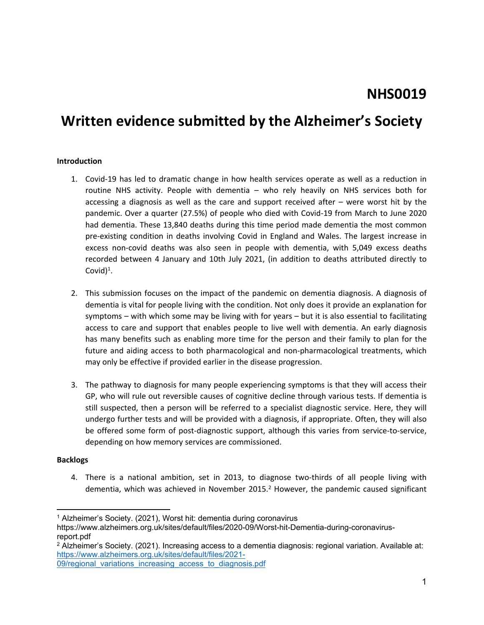# **Written evidence submitted by the Alzheimer's Society**

#### **Introduction**

- 1. Covid-19 has led to dramatic change in how health services operate as well as a reduction in routine NHS activity. People with dementia – who rely heavily on NHS services both for accessing a diagnosis as well as the care and support received after – were worst hit by the pandemic. Over a quarter (27.5%) of people who died with Covid-19 from March to June 2020 had dementia. These 13,840 deaths during this time period made dementia the most common pre-existing condition in deaths involving Covid in England and Wales. The largest increase in excess non-covid deaths was also seen in people with dementia, with 5,049 excess deaths recorded between 4 January and 10th July 2021, (in addition to deaths attributed directly to Covid $)^{1}$ .
- 2. This submission focuses on the impact of the pandemic on dementia diagnosis. A diagnosis of dementia is vital for people living with the condition. Not only does it provide an explanation for symptoms – with which some may be living with for years – but it is also essential to facilitating access to care and support that enables people to live well with dementia. An early diagnosis has many benefits such as enabling more time for the person and their family to plan for the future and aiding access to both pharmacological and non-pharmacological treatments, which may only be effective if provided earlier in the disease progression.
- 3. The pathway to diagnosis for many people experiencing symptoms is that they will access their GP, who will rule out reversible causes of cognitive decline through various tests. If dementia is still suspected, then a person will be referred to a specialist diagnostic service. Here, they will undergo further tests and will be provided with a diagnosis, if appropriate. Often, they will also be offered some form of post-diagnostic support, although this varies from service-to-service, depending on how memory services are commissioned.

#### **Backlogs**

4. There is a national ambition, set in 2013, to diagnose two-thirds of all people living with dementia, which was achieved in November 2015.<sup>2</sup> However, the pandemic caused significant

<sup>1</sup> Alzheimer's Society. (2021), Worst hit: dementia during coronavirus

https://www.alzheimers.org.uk/sites/default/files/2020-09/Worst-hit-Dementia-during-coronavirusreport.pdf

<sup>2</sup> Alzheimer's Society. (2021). Increasing access to a dementia diagnosis: regional variation. Available at: [https://www.alzheimers.org.uk/sites/default/files/2021-](https://www.alzheimers.org.uk/sites/default/files/2021-09/regional_variations_increasing_access_to_diagnosis.pdf)

[<sup>09/</sup>regional\\_variations\\_increasing\\_access\\_to\\_diagnosis.pdf](https://www.alzheimers.org.uk/sites/default/files/2021-09/regional_variations_increasing_access_to_diagnosis.pdf)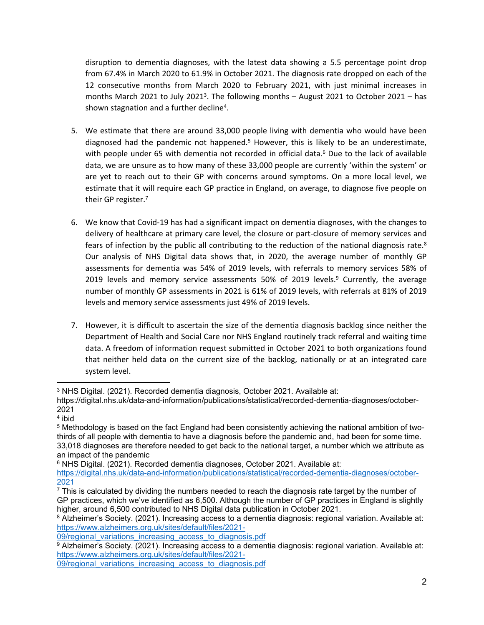disruption to dementia diagnoses, with the latest data showing a 5.5 percentage point drop from 67.4% in March 2020 to 61.9% in October 2021. The diagnosis rate dropped on each of the 12 consecutive months from March 2020 to February 2021, with just minimal increases in months March 2021 to July 2021<sup>3</sup>. The following months - August 2021 to October 2021 - has shown stagnation and a further decline<sup>4</sup>.

- 5. We estimate that there are around 33,000 people living with dementia who would have been diagnosed had the pandemic not happened.<sup>5</sup> However, this is likely to be an underestimate, with people under 65 with dementia not recorded in official data.<sup>6</sup> Due to the lack of available data, we are unsure as to how many of these 33,000 people are currently 'within the system' or are yet to reach out to their GP with concerns around symptoms. On a more local level, we estimate that it will require each GP practice in England, on average, to diagnose five people on their GP register.<sup>7</sup>
- 6. We know that Covid-19 has had a significant impact on dementia diagnoses, with the changes to delivery of healthcare at primary care level, the closure or part-closure of memory services and fears of infection by the public all contributing to the reduction of the national diagnosis rate. $8$ Our analysis of NHS Digital data shows that, in 2020, the average number of monthly GP assessments for dementia was 54% of 2019 levels, with referrals to memory services 58% of 2019 levels and memory service assessments 50% of 2019 levels.<sup>9</sup> Currently, the average number of monthly GP assessments in 2021 is 61% of 2019 levels, with referrals at 81% of 2019 levels and memory service assessments just 49% of 2019 levels.
- 7. However, it is difficult to ascertain the size of the dementia diagnosis backlog since neither the Department of Health and Social Care nor NHS England routinely track referral and waiting time data. A freedom of information request submitted in October 2021 to both organizations found that neither held data on the current size of the backlog, nationally or at an integrated care system level.

<sup>3</sup> NHS Digital. (2021). Recorded dementia diagnosis, October 2021. Available at:

https://digital.nhs.uk/data-and-information/publications/statistical/recorded-dementia-diagnoses/october-2021

<sup>4</sup> ibid

<sup>5</sup> Methodology is based on the fact England had been consistently achieving the national ambition of twothirds of all people with dementia to have a diagnosis before the pandemic and, had been for some time. 33,018 diagnoses are therefore needed to get back to the national target, a number which we attribute as an impact of the pandemic

<sup>6</sup> NHS Digital. (2021). Recorded dementia diagnoses, October 2021. Available at: [https://digital.nhs.uk/data-and-information/publications/statistical/recorded-dementia-diagnoses/october-](https://digital.nhs.uk/data-and-information/publications/statistical/recorded-dementia-diagnoses/october-2021)[2021](https://digital.nhs.uk/data-and-information/publications/statistical/recorded-dementia-diagnoses/october-2021)

 $\overline{7}$  This is calculated by dividing the numbers needed to reach the diagnosis rate target by the number of GP practices, which we've identified as 6,500. Although the number of GP practices in England is slightly higher, around 6,500 contributed to NHS Digital data publication in October 2021.

<sup>8</sup> Alzheimer's Society. (2021). Increasing access to a dementia diagnosis: regional variation. Available at: [https://www.alzheimers.org.uk/sites/default/files/2021-](https://www.alzheimers.org.uk/sites/default/files/2021-09/regional_variations_increasing_access_to_diagnosis.pdf)

[<sup>09/</sup>regional\\_variations\\_increasing\\_access\\_to\\_diagnosis.pdf](https://www.alzheimers.org.uk/sites/default/files/2021-09/regional_variations_increasing_access_to_diagnosis.pdf)

<sup>9</sup> Alzheimer's Society. (2021). Increasing access to a dementia diagnosis: regional variation. Available at: [https://www.alzheimers.org.uk/sites/default/files/2021-](https://www.alzheimers.org.uk/sites/default/files/2021-09/regional_variations_increasing_access_to_diagnosis.pdf)

[<sup>09/</sup>regional\\_variations\\_increasing\\_access\\_to\\_diagnosis.pdf](https://www.alzheimers.org.uk/sites/default/files/2021-09/regional_variations_increasing_access_to_diagnosis.pdf)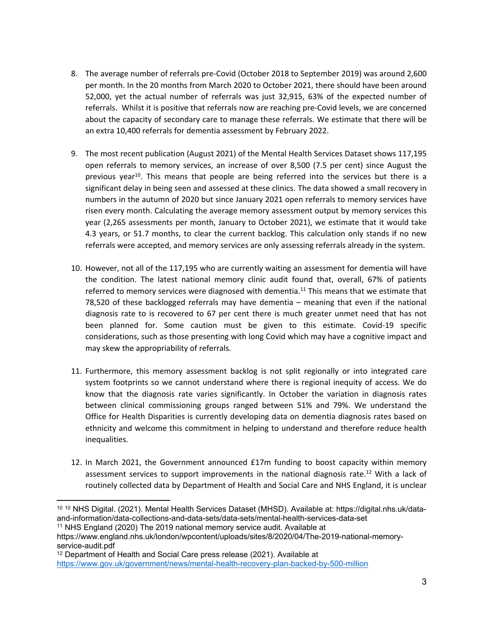- 8. The average number of referrals pre-Covid (October 2018 to September 2019) was around 2,600 per month. In the 20 months from March 2020 to October 2021, there should have been around 52,000, yet the actual number of referrals was just 32,915, 63% of the expected number of referrals. Whilst it is positive that referrals now are reaching pre-Covid levels, we are concerned about the capacity of secondary care to manage these referrals. We estimate that there will be an extra 10,400 referrals for dementia assessment by February 2022.
- 9. The most recent publication (August 2021) of the Mental Health Services Dataset shows 117,195 open referrals to memory services, an increase of over 8,500 (7.5 per cent) since August the previous year<sup>10</sup>. This means that people are being referred into the services but there is a significant delay in being seen and assessed at these clinics. The data showed a small recovery in numbers in the autumn of 2020 but since January 2021 open referrals to memory services have risen every month. Calculating the average memory assessment output by memory services this year (2,265 assessments per month, January to October 2021), we estimate that it would take 4.3 years, or 51.7 months, to clear the current backlog. This calculation only stands if no new referrals were accepted, and memory services are only assessing referrals already in the system.
- 10. However, not all of the 117,195 who are currently waiting an assessment for dementia will have the condition. The latest national memory clinic audit found that, overall, 67% of patients referred to memory services were diagnosed with dementia.<sup>11</sup> This means that we estimate that 78,520 of these backlogged referrals may have dementia – meaning that even if the national diagnosis rate to is recovered to 67 per cent there is much greater unmet need that has not been planned for. Some caution must be given to this estimate. Covid-19 specific considerations, such as those presenting with long Covid which may have a cognitive impact and may skew the appropriability of referrals.
- 11. Furthermore, this memory assessment backlog is not split regionally or into integrated care system footprints so we cannot understand where there is regional inequity of access. We do know that the diagnosis rate varies significantly. In October the variation in diagnosis rates between clinical commissioning groups ranged between 51% and 79%. We understand the Office for Health Disparities is currently developing data on dementia diagnosis rates based on ethnicity and welcome this commitment in helping to understand and therefore reduce health inequalities.
- 12. In March 2021, the Government announced £17m funding to boost capacity within memory assessment services to support improvements in the national diagnosis rate.<sup>12</sup> With a lack of routinely collected data by Department of Health and Social Care and NHS England, it is unclear

<sup>11</sup> NHS England (2020) The 2019 national memory service audit. Available at

<sup>10</sup> <sup>10</sup> NHS Digital. (2021). Mental Health Services Dataset (MHSD). Available at: https://digital.nhs.uk/dataand-information/data-collections-and-data-sets/data-sets/mental-health-services-data-set

https://www.england.nhs.uk/london/wpcontent/uploads/sites/8/2020/04/The-2019-national-memoryservice-audit.pdf

<sup>12</sup> Department of Health and Social Care press release (2021). Available at

<https://www.gov.uk/government/news/mental-health-recovery-plan-backed-by-500-million>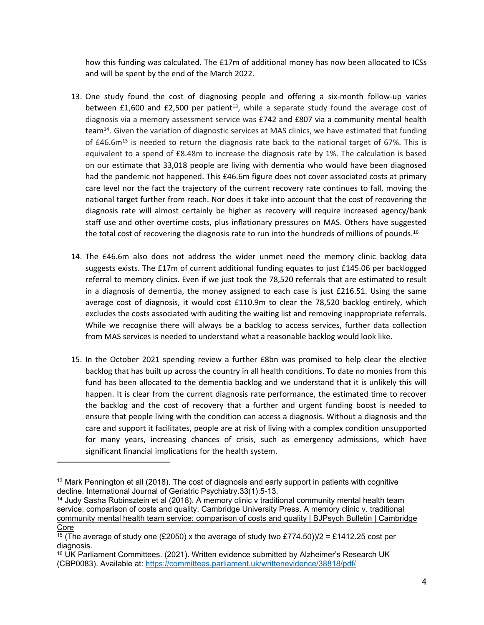how this funding was calculated. The £17m of additional money has now been allocated to ICSs and will be spent by the end of the March 2022.

- 13. One study found the cost of diagnosing people and offering a six-month follow-up varies between  $£1,600$  and  $£2,500$  per patient<sup>13</sup>, while a separate study found the average cost of diagnosis via a memory assessment service was £742 and £807 via a community mental health team<sup>14</sup>. Given the variation of diagnostic services at MAS clinics, we have estimated that funding of  $£46.6m<sup>15</sup>$  is needed to return the diagnosis rate back to the national target of 67%. This is equivalent to a spend of £8.48m to increase the diagnosis rate by 1%. The calculation is based on our estimate that 33,018 people are living with dementia who would have been diagnosed had the pandemic not happened. This £46.6m figure does not cover associated costs at primary care level nor the fact the trajectory of the current recovery rate continues to fall, moving the national target further from reach. Nor does it take into account that the cost of recovering the diagnosis rate will almost certainly be higher as recovery will require increased agency/bank staff use and other overtime costs, plus inflationary pressures on MAS. Others have suggested the total cost of recovering the diagnosis rate to run into the hundreds of millions of pounds.<sup>16</sup>
- 14. The £46.6m also does not address the wider unmet need the memory clinic backlog data suggests exists. The £17m of current additional funding equates to just £145.06 per backlogged referral to memory clinics. Even if we just took the 78,520 referrals that are estimated to result in a diagnosis of dementia, the money assigned to each case is just £216.51. Using the same average cost of diagnosis, it would cost £110.9m to clear the 78,520 backlog entirely, which excludes the costs associated with auditing the waiting list and removing inappropriate referrals. While we recognise there will always be a backlog to access services, further data collection from MAS services is needed to understand what a reasonable backlog would look like.
- 15. In the October 2021 spending review a further £8bn was promised to help clear the elective backlog that has built up across the country in all health conditions. To date no monies from this fund has been allocated to the dementia backlog and we understand that it is unlikely this will happen. It is clear from the current diagnosis rate performance, the estimated time to recover the backlog and the cost of recovery that a further and urgent funding boost is needed to ensure that people living with the condition can access a diagnosis. Without a diagnosis and the care and support it facilitates, people are at risk of living with a complex condition unsupported for many years, increasing chances of crisis, such as emergency admissions, which have significant financial implications for the health system.

<sup>&</sup>lt;sup>13</sup> Mark Pennington et all (2018). The cost of diagnosis and early support in patients with cognitive decline. International Journal of Geriatric Psychiatry.33(1):5-13.

<sup>&</sup>lt;sup>14</sup> Judy Sasha Rubinsztein et al (2018). A memory clinic v traditional community mental health team service: comparison of costs and quality. Cambridge University Press. [A](https://www.cambridge.org/core/journals/bjpsych-bulletin/article/memory-clinic-v-traditional-community-mental-health-team-service-comparison-of-costs-and-quality/B0EBEB15A321525A356AB1BF9AF88D03) [memory](https://www.cambridge.org/core/journals/bjpsych-bulletin/article/memory-clinic-v-traditional-community-mental-health-team-service-comparison-of-costs-and-quality/B0EBEB15A321525A356AB1BF9AF88D03) [clinic](https://www.cambridge.org/core/journals/bjpsych-bulletin/article/memory-clinic-v-traditional-community-mental-health-team-service-comparison-of-costs-and-quality/B0EBEB15A321525A356AB1BF9AF88D03) [v.](https://www.cambridge.org/core/journals/bjpsych-bulletin/article/memory-clinic-v-traditional-community-mental-health-team-service-comparison-of-costs-and-quality/B0EBEB15A321525A356AB1BF9AF88D03) [traditional](https://www.cambridge.org/core/journals/bjpsych-bulletin/article/memory-clinic-v-traditional-community-mental-health-team-service-comparison-of-costs-and-quality/B0EBEB15A321525A356AB1BF9AF88D03) [community](https://www.cambridge.org/core/journals/bjpsych-bulletin/article/memory-clinic-v-traditional-community-mental-health-team-service-comparison-of-costs-and-quality/B0EBEB15A321525A356AB1BF9AF88D03) [mental](https://www.cambridge.org/core/journals/bjpsych-bulletin/article/memory-clinic-v-traditional-community-mental-health-team-service-comparison-of-costs-and-quality/B0EBEB15A321525A356AB1BF9AF88D03) [health](https://www.cambridge.org/core/journals/bjpsych-bulletin/article/memory-clinic-v-traditional-community-mental-health-team-service-comparison-of-costs-and-quality/B0EBEB15A321525A356AB1BF9AF88D03) [team](https://www.cambridge.org/core/journals/bjpsych-bulletin/article/memory-clinic-v-traditional-community-mental-health-team-service-comparison-of-costs-and-quality/B0EBEB15A321525A356AB1BF9AF88D03) [service:](https://www.cambridge.org/core/journals/bjpsych-bulletin/article/memory-clinic-v-traditional-community-mental-health-team-service-comparison-of-costs-and-quality/B0EBEB15A321525A356AB1BF9AF88D03) [comparison](https://www.cambridge.org/core/journals/bjpsych-bulletin/article/memory-clinic-v-traditional-community-mental-health-team-service-comparison-of-costs-and-quality/B0EBEB15A321525A356AB1BF9AF88D03) [of](https://www.cambridge.org/core/journals/bjpsych-bulletin/article/memory-clinic-v-traditional-community-mental-health-team-service-comparison-of-costs-and-quality/B0EBEB15A321525A356AB1BF9AF88D03) [costs](https://www.cambridge.org/core/journals/bjpsych-bulletin/article/memory-clinic-v-traditional-community-mental-health-team-service-comparison-of-costs-and-quality/B0EBEB15A321525A356AB1BF9AF88D03) [and](https://www.cambridge.org/core/journals/bjpsych-bulletin/article/memory-clinic-v-traditional-community-mental-health-team-service-comparison-of-costs-and-quality/B0EBEB15A321525A356AB1BF9AF88D03) [quality](https://www.cambridge.org/core/journals/bjpsych-bulletin/article/memory-clinic-v-traditional-community-mental-health-team-service-comparison-of-costs-and-quality/B0EBEB15A321525A356AB1BF9AF88D03) [|](https://www.cambridge.org/core/journals/bjpsych-bulletin/article/memory-clinic-v-traditional-community-mental-health-team-service-comparison-of-costs-and-quality/B0EBEB15A321525A356AB1BF9AF88D03) [BJPsych](https://www.cambridge.org/core/journals/bjpsych-bulletin/article/memory-clinic-v-traditional-community-mental-health-team-service-comparison-of-costs-and-quality/B0EBEB15A321525A356AB1BF9AF88D03) [Bulletin](https://www.cambridge.org/core/journals/bjpsych-bulletin/article/memory-clinic-v-traditional-community-mental-health-team-service-comparison-of-costs-and-quality/B0EBEB15A321525A356AB1BF9AF88D03) [|](https://www.cambridge.org/core/journals/bjpsych-bulletin/article/memory-clinic-v-traditional-community-mental-health-team-service-comparison-of-costs-and-quality/B0EBEB15A321525A356AB1BF9AF88D03) [Cambridge](https://www.cambridge.org/core/journals/bjpsych-bulletin/article/memory-clinic-v-traditional-community-mental-health-team-service-comparison-of-costs-and-quality/B0EBEB15A321525A356AB1BF9AF88D03) [Core](https://www.cambridge.org/core/journals/bjpsych-bulletin/article/memory-clinic-v-traditional-community-mental-health-team-service-comparison-of-costs-and-quality/B0EBEB15A321525A356AB1BF9AF88D03)

<sup>&</sup>lt;sup>15</sup> (The average of study one (£2050) x the average of study two £774.50))/2 = £1412.25 cost per diagnosis.

<sup>&</sup>lt;sup>16</sup> UK Parliament Committees. (2021). Written evidence submitted by Alzheimer's Research UK (CBP0083). Available at: <https://committees.parliament.uk/writtenevidence/38818/pdf/>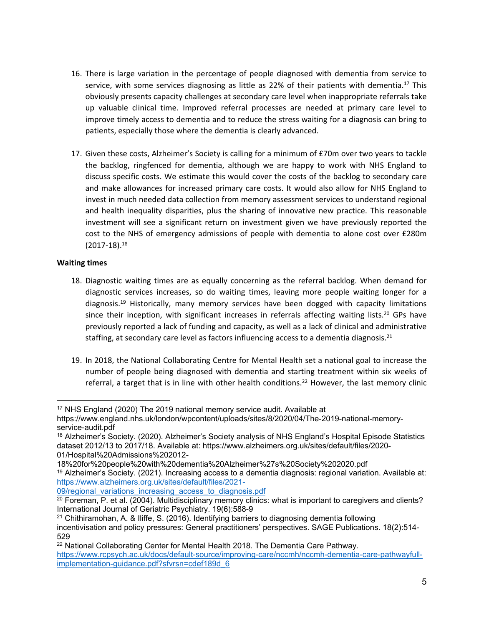- 16. There is large variation in the percentage of people diagnosed with dementia from service to service, with some services diagnosing as little as 22% of their patients with dementia.<sup>17</sup> This obviously presents capacity challenges at secondary care level when inappropriate referrals take up valuable clinical time. Improved referral processes are needed at primary care level to improve timely access to dementia and to reduce the stress waiting for a diagnosis can bring to patients, especially those where the dementia is clearly advanced.
- 17. Given these costs, Alzheimer's Society is calling for a minimum of £70m over two years to tackle the backlog, ringfenced for dementia, although we are happy to work with NHS England to discuss specific costs. We estimate this would cover the costs of the backlog to secondary care and make allowances for increased primary care costs. It would also allow for NHS England to invest in much needed data collection from memory assessment services to understand regional and health inequality disparities, plus the sharing of innovative new practice. This reasonable investment will see a significant return on investment given we have previously reported the cost to the NHS of emergency admissions of people with dementia to alone cost over £280m (2017-18).<sup>18</sup>

#### **Waiting times**

- 18. Diagnostic waiting times are as equally concerning as the referral backlog. When demand for diagnostic services increases, so do waiting times, leaving more people waiting longer for a diagnosis.<sup>19</sup> Historically, many memory services have been dogged with capacity limitations since their inception, with significant increases in referrals affecting waiting lists.<sup>20</sup> GPs have previously reported a lack of funding and capacity, as well as a lack of clinical and administrative staffing, at secondary care level as factors influencing access to a dementia diagnosis.<sup>21</sup>
- 19. In 2018, the National Collaborating Centre for Mental Health set a national goal to increase the number of people being diagnosed with dementia and starting treatment within six weeks of referral, a target that is in line with other health conditions.<sup>22</sup> However, the last memory clinic

<sup>17</sup> NHS England (2020) The 2019 national memory service audit. Available at

https://www.england.nhs.uk/london/wpcontent/uploads/sites/8/2020/04/The-2019-national-memoryservice-audit.pdf

<sup>18</sup> Alzheimer's Society. (2020). Alzheimer's Society analysis of NHS England's Hospital Episode Statistics dataset 2012/13 to 2017/18. Available at: https://www.alzheimers.org.uk/sites/default/files/2020- 01/Hospital%20Admissions%202012-

<sup>18%20</sup>for%20people%20with%20dementia%20Alzheimer%27s%20Society%202020.pdf

<sup>&</sup>lt;sup>19</sup> Alzheimer's Society. (2021). Increasing access to a dementia diagnosis: regional variation. Available at: [https://www.alzheimers.org.uk/sites/default/files/2021-](https://www.alzheimers.org.uk/sites/default/files/2021-09/regional_variations_increasing_access_to_diagnosis.pdf)

<sup>09/</sup>regional variations increasing access to diagnosis.pdf

<sup>&</sup>lt;sup>20</sup> Foreman, P. et al. (2004). Multidisciplinary memory clinics: what is important to caregivers and clients? International Journal of Geriatric Psychiatry. 19(6):588-9

<sup>21</sup> Chithiramohan, A. & Iliffe, S. (2016). Identifying barriers to diagnosing dementia following incentivisation and policy pressures: General practitioners' perspectives. SAGE Publications. 18(2):514- 529

<sup>&</sup>lt;sup>22</sup> National Collaborating Center for Mental Health 2018. The Dementia Care Pathway. [https://www.rcpsych.ac.uk/docs/default-source/improving-care/nccmh/nccmh-dementia-care-pathwayfull](https://www.rcpsych.ac.uk/docs/default-source/improving-care/nccmh/nccmh-dementia-care-pathwayfull-implementation-guidance.pdf?sfvrsn=cdef189d_6)[implementation-guidance.pdf?sfvrsn=cdef189d\\_6](https://www.rcpsych.ac.uk/docs/default-source/improving-care/nccmh/nccmh-dementia-care-pathwayfull-implementation-guidance.pdf?sfvrsn=cdef189d_6)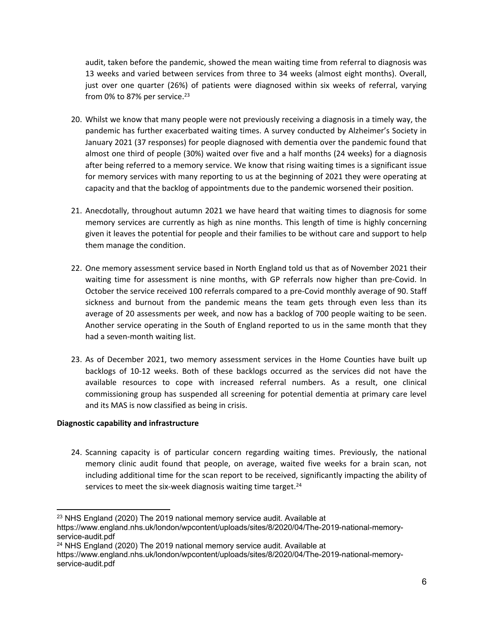audit, taken before the pandemic, showed the mean waiting time from referral to diagnosis was 13 weeks and varied between services from three to 34 weeks (almost eight months). Overall, just over one quarter (26%) of patients were diagnosed within six weeks of referral, varying from 0% to 87% per service. $23$ 

- 20. Whilst we know that many people were not previously receiving a diagnosis in a timely way, the pandemic has further exacerbated waiting times. A survey conducted by Alzheimer's Society in January 2021 (37 responses) for people diagnosed with dementia over the pandemic found that almost one third of people (30%) waited over five and a half months (24 weeks) for a diagnosis after being referred to a memory service. We know that rising waiting times is a significant issue for memory services with many reporting to us at the beginning of 2021 they were operating at capacity and that the backlog of appointments due to the pandemic worsened their position.
- 21. Anecdotally, throughout autumn 2021 we have heard that waiting times to diagnosis for some memory services are currently as high as nine months. This length of time is highly concerning given it leaves the potential for people and their families to be without care and support to help them manage the condition.
- 22. One memory assessment service based in North England told us that as of November 2021 their waiting time for assessment is nine months, with GP referrals now higher than pre-Covid. In October the service received 100 referrals compared to a pre-Covid monthly average of 90. Staff sickness and burnout from the pandemic means the team gets through even less than its average of 20 assessments per week, and now has a backlog of 700 people waiting to be seen. Another service operating in the South of England reported to us in the same month that they had a seven-month waiting list.
- 23. As of December 2021, two memory assessment services in the Home Counties have built up backlogs of 10-12 weeks. Both of these backlogs occurred as the services did not have the available resources to cope with increased referral numbers. As a result, one clinical commissioning group has suspended all screening for potential dementia at primary care level and its MAS is now classified as being in crisis.

## **Diagnostic capability and infrastructure**

24. Scanning capacity is of particular concern regarding waiting times. Previously, the national memory clinic audit found that people, on average, waited five weeks for a brain scan, not including additional time for the scan report to be received, significantly impacting the ability of services to meet the six-week diagnosis waiting time target. $24$ 

<sup>&</sup>lt;sup>23</sup> NHS England (2020) The 2019 national memory service audit. Available at

https://www.england.nhs.uk/london/wpcontent/uploads/sites/8/2020/04/The-2019-national-memoryservice-audit.pdf

<sup>&</sup>lt;sup>24</sup> NHS England (2020) The 2019 national memory service audit. Available at

https://www.england.nhs.uk/london/wpcontent/uploads/sites/8/2020/04/The-2019-national-memoryservice-audit.pdf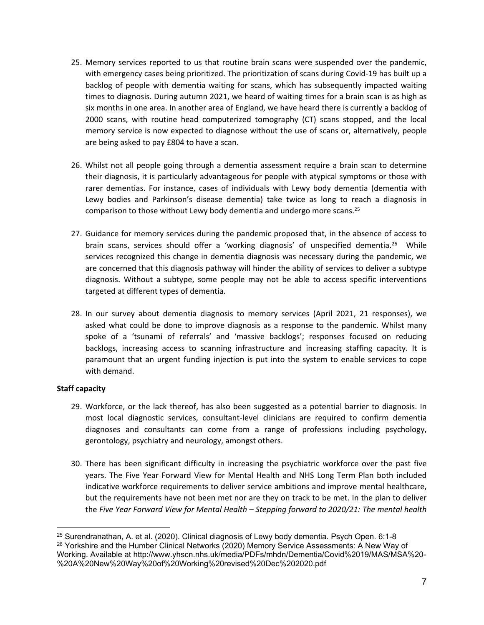- 25. Memory services reported to us that routine brain scans were suspended over the pandemic, with emergency cases being prioritized. The prioritization of scans during Covid-19 has built up a backlog of people with dementia waiting for scans, which has subsequently impacted waiting times to diagnosis. During autumn 2021, we heard of waiting times for a brain scan is as high as six months in one area. In another area of England, we have heard there is currently a backlog of 2000 scans, with routine head computerized tomography (CT) scans stopped, and the local memory service is now expected to diagnose without the use of scans or, alternatively, people are being asked to pay £804 to have a scan.
- 26. Whilst not all people going through a dementia assessment require a brain scan to determine their diagnosis, it is particularly advantageous for people with atypical symptoms or those with rarer dementias. For instance, cases of individuals with Lewy body dementia (dementia with Lewy bodies and Parkinson's disease dementia) take twice as long to reach a diagnosis in comparison to those without Lewy body dementia and undergo more scans.<sup>25</sup>
- 27. Guidance for memory services during the pandemic proposed that, in the absence of access to brain scans, services should offer a 'working diagnosis' of unspecified dementia.<sup>26</sup> While services recognized this change in dementia diagnosis was necessary during the pandemic, we are concerned that this diagnosis pathway will hinder the ability of services to deliver a subtype diagnosis. Without a subtype, some people may not be able to access specific interventions targeted at different types of dementia.
- 28. In our survey about dementia diagnosis to memory services (April 2021, 21 responses), we asked what could be done to improve diagnosis as a response to the pandemic. Whilst many spoke of a 'tsunami of referrals' and 'massive backlogs'; responses focused on reducing backlogs, increasing access to scanning infrastructure and increasing staffing capacity. It is paramount that an urgent funding injection is put into the system to enable services to cope with demand.

## **Staff capacity**

- 29. Workforce, or the lack thereof, has also been suggested as a potential barrier to diagnosis. In most local diagnostic services, consultant-level clinicians are required to confirm dementia diagnoses and consultants can come from a range of professions including psychology, gerontology, psychiatry and neurology, amongst others.
- 30. There has been significant difficulty in increasing the psychiatric workforce over the past five years. The Five Year Forward View for Mental Health and NHS Long Term Plan both included indicative workforce requirements to deliver service ambitions and improve mental healthcare, but the requirements have not been met nor are they on track to be met. In the plan to deliver the *Five Year Forward View for Mental Health – Stepping forward to 2020/21: The mental health*

<sup>25</sup> Surendranathan, A. et al. (2020). Clinical diagnosis of Lewy body dementia. Psych Open. 6:1-8 <sup>26</sup> Yorkshire and the Humber Clinical Networks (2020) Memory Service Assessments: A New Way of Working. Available at http://www.yhscn.nhs.uk/media/PDFs/mhdn/Dementia/Covid%2019/MAS/MSA%20- %20A%20New%20Way%20of%20Working%20revised%20Dec%202020.pdf